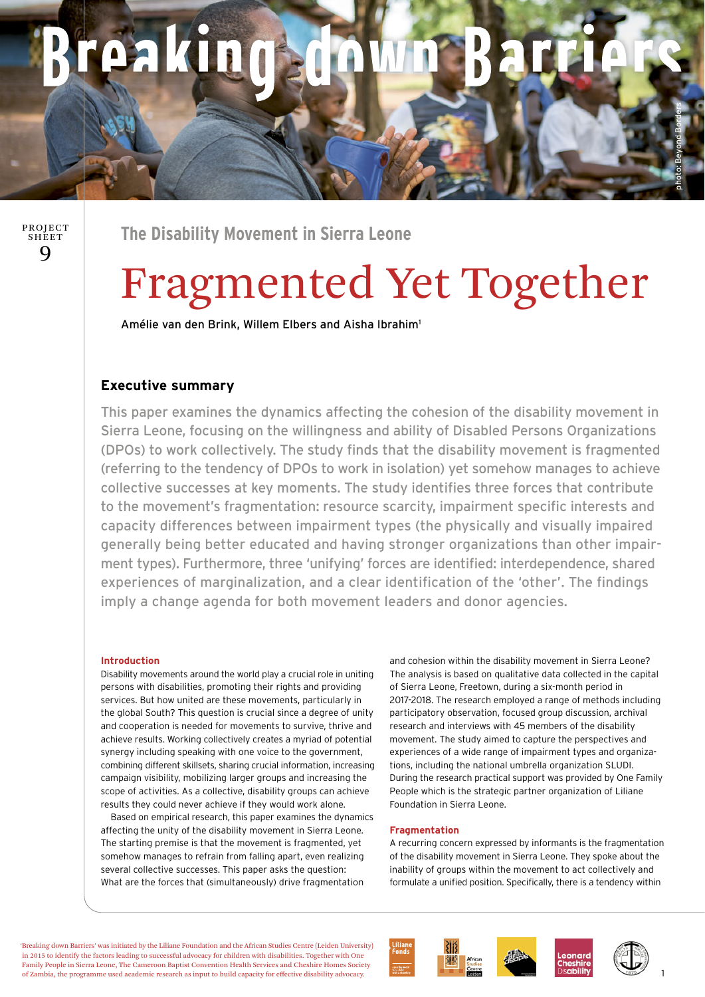## paking wn Ra TH A

 $\mathbf Q$ PROJECT **SHEET** 

**The Disability Movement in Sierra Leone** 

# Fragmented Yet Together

Amélie van den Brink, Willem Elbers and Aisha Ibrahim1

### **Executive summary**

This paper examines the dynamics affecting the cohesion of the disability movement in Sierra Leone, focusing on the willingness and ability of Disabled Persons Organizations (DPOs) to work collectively. The study finds that the disability movement is fragmented (referring to the tendency of DPOs to work in isolation) yet somehow manages to achieve collective successes at key moments. The study identifies three forces that contribute to the movement's fragmentation: resource scarcity, impairment specific interests and capacity differences between impairment types (the physically and visually impaired generally being better educated and having stronger organizations than other impairment types). Furthermore, three 'unifying' forces are identified: interdependence, shared experiences of marginalization, and a clear identification of the 'other'. The findings imply a change agenda for both movement leaders and donor agencies.

#### **Introduction**

Disability movements around the world play a crucial role in uniting persons with disabilities, promoting their rights and providing services. But how united are these movements, particularly in the global South? This question is crucial since a degree of unity and cooperation is needed for movements to survive, thrive and achieve results. Working collectively creates a myriad of potential synergy including speaking with one voice to the government, combining different skillsets, sharing crucial information, increasing campaign visibility, mobilizing larger groups and increasing the scope of activities. As a collective, disability groups can achieve results they could never achieve if they would work alone.

 Based on empirical research, this paper examines the dynamics affecting the unity of the disability movement in Sierra Leone. The starting premise is that the movement is fragmented, yet somehow manages to refrain from falling apart, even realizing several collective successes. This paper asks the question: What are the forces that (simultaneously) drive fragmentation

and cohesion within the disability movement in Sierra Leone? The analysis is based on qualitative data collected in the capital of Sierra Leone, Freetown, during a six-month period in 2017-2018. The research employed a range of methods including participatory observation, focused group discussion, archival research and interviews with 45 members of the disability movement. The study aimed to capture the perspectives and experiences of a wide range of impairment types and organizations, including the national umbrella organization SLUDI. During the research practical support was provided by One Family People which is the strategic partner organization of Liliane Foundation in Sierra Leone.

#### **Fragmentation**

A recurring concern expressed by informants is the fragmentation of the disability movement in Sierra Leone. They spoke about the inability of groups within the movement to act collectively and formulate a unified position. Specifically, there is a tendency within

'Breaking down Barriers' was initiated by the Liliane Foundation and the African Studies Centre (Leiden University) in 2015 to identify the factors leading to successful advocacy for children with disabilities. Together with One Family People in Sierra Leone, The Cameroon Baptist Convention Health Services and Cheshire Homes Society of Zambia, the programme used academic research as input to build capacity for effective disability advocacy.





photo: Beyond Borders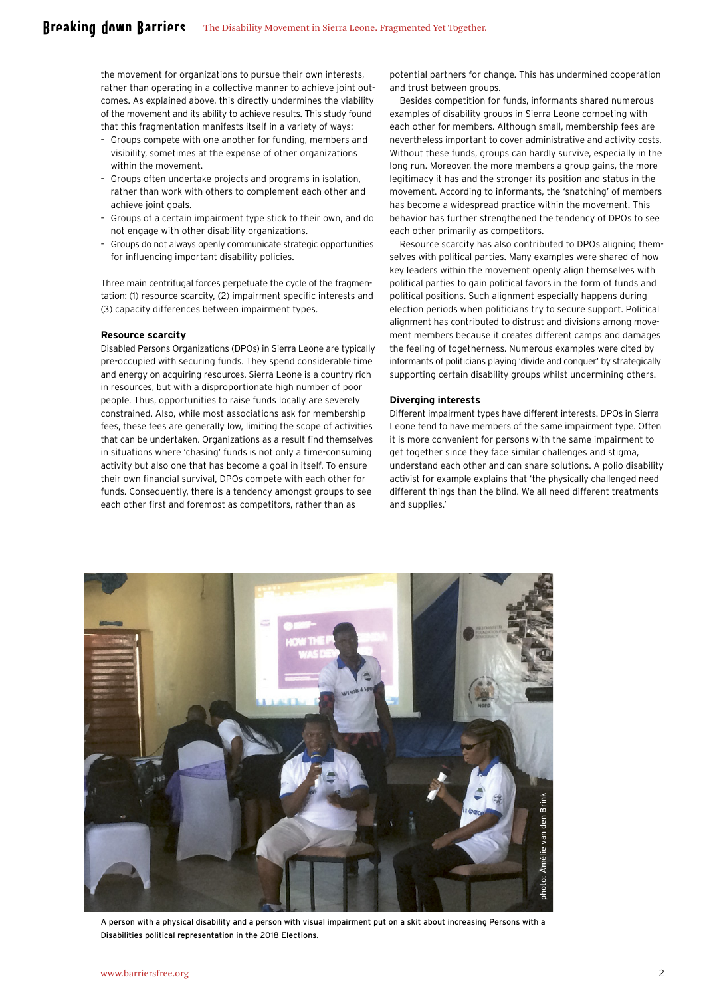the movement for organizations to pursue their own interests, rather than operating in a collective manner to achieve joint outcomes. As explained above, this directly undermines the viability of the movement and its ability to achieve results. This study found that this fragmentation manifests itself in a variety of ways:

- Groups compete with one another for funding, members and visibility, sometimes at the expense of other organizations within the movement.
- Groups often undertake projects and programs in isolation, rather than work with others to complement each other and achieve joint goals.
- Groups of a certain impairment type stick to their own, and do not engage with other disability organizations.
- Groups do not always openly communicate strategic opportunities for influencing important disability policies.

Three main centrifugal forces perpetuate the cycle of the fragmentation: (1) resource scarcity, (2) impairment specific interests and (3) capacity differences between impairment types.

#### **Resource scarcity**

Disabled Persons Organizations (DPOs) in Sierra Leone are typically pre-occupied with securing funds. They spend considerable time and energy on acquiring resources. Sierra Leone is a country rich in resources, but with a disproportionate high number of poor people. Thus, opportunities to raise funds locally are severely constrained. Also, while most associations ask for membership fees, these fees are generally low, limiting the scope of activities that can be undertaken. Organizations as a result find themselves in situations where 'chasing' funds is not only a time-consuming activity but also one that has become a goal in itself. To ensure their own financial survival, DPOs compete with each other for funds. Consequently, there is a tendency amongst groups to see each other first and foremost as competitors, rather than as

potential partners for change. This has undermined cooperation and trust between groups.

Besides competition for funds, informants shared numerous examples of disability groups in Sierra Leone competing with each other for members. Although small, membership fees are nevertheless important to cover administrative and activity costs. Without these funds, groups can hardly survive, especially in the long run. Moreover, the more members a group gains, the more legitimacy it has and the stronger its position and status in the movement. According to informants, the 'snatching' of members has become a widespread practice within the movement. This behavior has further strengthened the tendency of DPOs to see each other primarily as competitors.

Resource scarcity has also contributed to DPOs aligning themselves with political parties. Many examples were shared of how key leaders within the movement openly align themselves with political parties to gain political favors in the form of funds and political positions. Such alignment especially happens during election periods when politicians try to secure support. Political alignment has contributed to distrust and divisions among movement members because it creates different camps and damages the feeling of togetherness. Numerous examples were cited by informants of politicians playing 'divide and conquer' by strategically supporting certain disability groups whilst undermining others.

#### **Diverging interests**

Different impairment types have different interests. DPOs in Sierra Leone tend to have members of the same impairment type. Often it is more convenient for persons with the same impairment to get together since they face similar challenges and stigma, understand each other and can share solutions. A polio disability activist for example explains that 'the physically challenged need different things than the blind. We all need different treatments and supplies.'



A person with a physical disability and a person with visual impairment put on a skit about increasing Persons with a Disabilities political representation in the 2018 Elections.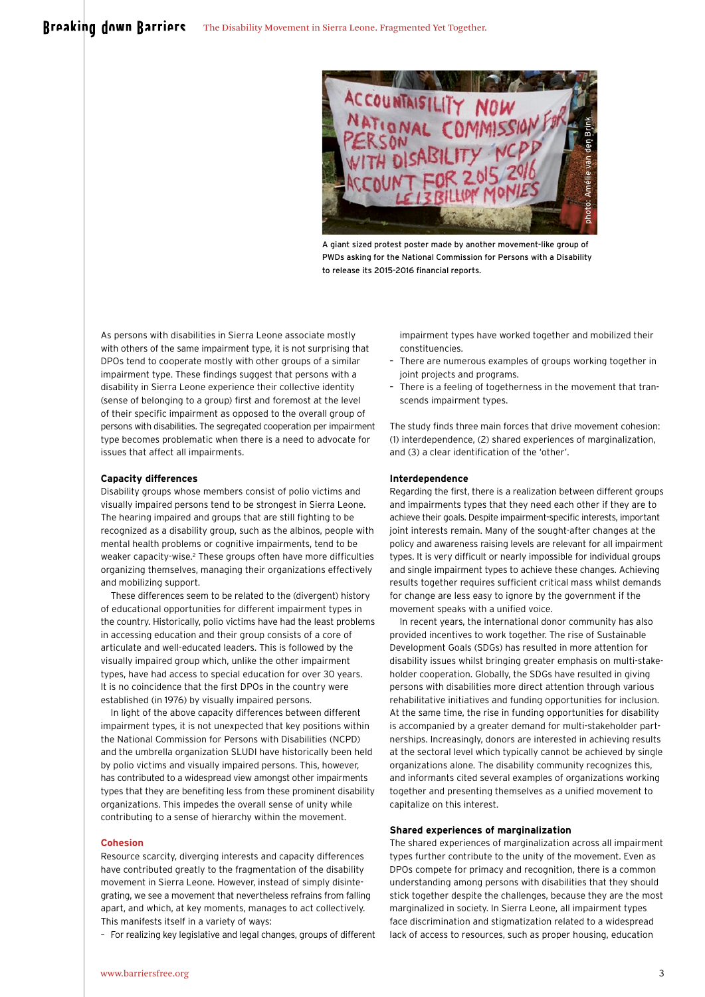

A giant sized protest poster made by another movement-like group of PWDs asking for the National Commission for Persons with a Disability to release its 2015-2016 financial reports.

As persons with disabilities in Sierra Leone associate mostly with others of the same impairment type, it is not surprising that DPOs tend to cooperate mostly with other groups of a similar impairment type. These findings suggest that persons with a disability in Sierra Leone experience their collective identity (sense of belonging to a group) first and foremost at the level of their specific impairment as opposed to the overall group of persons with disabilities. The segregated cooperation per impairment type becomes problematic when there is a need to advocate for issues that affect all impairments.

#### **Capacity differences**

Disability groups whose members consist of polio victims and visually impaired persons tend to be strongest in Sierra Leone. The hearing impaired and groups that are still fighting to be recognized as a disability group, such as the albinos, people with mental health problems or cognitive impairments, tend to be weaker capacity-wise.<sup>2</sup> These groups often have more difficulties organizing themselves, managing their organizations effectively and mobilizing support.

These differences seem to be related to the (divergent) history of educational opportunities for different impairment types in the country. Historically, polio victims have had the least problems in accessing education and their group consists of a core of articulate and well-educated leaders. This is followed by the visually impaired group which, unlike the other impairment types, have had access to special education for over 30 years. It is no coincidence that the first DPOs in the country were established (in 1976) by visually impaired persons.

In light of the above capacity differences between different impairment types, it is not unexpected that key positions within the National Commission for Persons with Disabilities (NCPD) and the umbrella organization SLUDI have historically been held by polio victims and visually impaired persons. This, however, has contributed to a widespread view amongst other impairments types that they are benefiting less from these prominent disability organizations. This impedes the overall sense of unity while contributing to a sense of hierarchy within the movement.

#### **Cohesion**

Resource scarcity, diverging interests and capacity differences have contributed greatly to the fragmentation of the disability movement in Sierra Leone. However, instead of simply disintegrating, we see a movement that nevertheless refrains from falling apart, and which, at key moments, manages to act collectively. This manifests itself in a variety of ways:

– For realizing key legislative and legal changes, groups of different

impairment types have worked together and mobilized their constituencies.

- There are numerous examples of groups working together in joint projects and programs.
- There is a feeling of togetherness in the movement that transcends impairment types.

The study finds three main forces that drive movement cohesion: (1) interdependence, (2) shared experiences of marginalization, and (3) a clear identification of the 'other'.

#### **Interdependence**

Regarding the first, there is a realization between different groups and impairments types that they need each other if they are to achieve their goals. Despite impairment-specific interests, important joint interests remain. Many of the sought-after changes at the policy and awareness raising levels are relevant for all impairment types. It is very difficult or nearly impossible for individual groups and single impairment types to achieve these changes. Achieving results together requires sufficient critical mass whilst demands for change are less easy to ignore by the government if the movement speaks with a unified voice.

In recent years, the international donor community has also provided incentives to work together. The rise of Sustainable Development Goals (SDGs) has resulted in more attention for disability issues whilst bringing greater emphasis on multi-stakeholder cooperation. Globally, the SDGs have resulted in giving persons with disabilities more direct attention through various rehabilitative initiatives and funding opportunities for inclusion. At the same time, the rise in funding opportunities for disability is accompanied by a greater demand for multi-stakeholder partnerships. Increasingly, donors are interested in achieving results at the sectoral level which typically cannot be achieved by single organizations alone. The disability community recognizes this, and informants cited several examples of organizations working together and presenting themselves as a unified movement to capitalize on this interest.

#### **Shared experiences of marginalization**

The shared experiences of marginalization across all impairment types further contribute to the unity of the movement. Even as DPOs compete for primacy and recognition, there is a common understanding among persons with disabilities that they should stick together despite the challenges, because they are the most marginalized in society. In Sierra Leone, all impairment types face discrimination and stigmatization related to a widespread lack of access to resources, such as proper housing, education